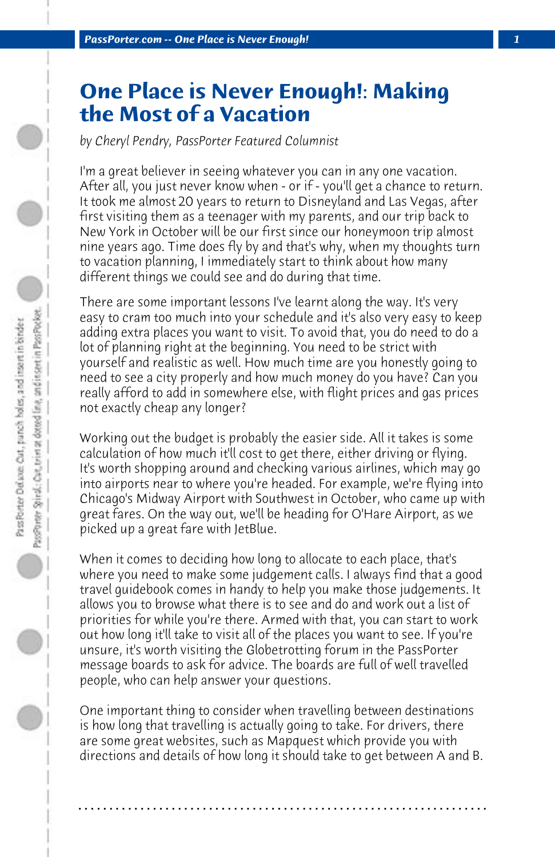## **One Place is Never Enough!: Making the Most of a Vacation**

*by Cheryl Pendry, PassPorter Featured Columnist*

I'm a great believer in seeing whatever you can in any one vacation. After all, you just never know when - or if - you'll get a chance to return. It took me almost 20 years to return to Disneyland and Las Vegas, after first visiting them as a teenager with my parents, and our trip back to New York in October will be our first since our honeymoon trip almost nine years ago. Time does fly by and that's why, when my thoughts turn to vacation planning, I immediately start to think about how many different things we could see and do during that time.

There are some important lessons I've learnt along the way. It's very easy to cram too much into your schedule and it's also very easy to keep adding extra places you want to visit. To avoid that, you do need to do a lot of planning right at the beginning. You need to be strict with yourself and realistic as well. How much time are you honestly going to need to see a city properly and how much money do you have? Can you really afford to add in somewhere else, with flight prices and gas prices not exactly cheap any longer?

Working out the budget is probably the easier side. All it takes is some calculation of how much it'll cost to get there, either driving or flying. It's worth shopping around and checking various airlines, which may go into airports near to where you're headed. For example, we're flying into Chicago's Midway Airport with Southwest in October, who came up with great fares. On the way out, we'll be heading for O'Hare Airport, as we picked up a great fare with JetBlue.

When it comes to deciding how long to allocate to each place, that's where you need to make some judgement calls. I always find that a good travel guidebook comes in handy to help you make those judgements. It allows you to browse what there is to see and do and work out a list of priorities for while you're there. Armed with that, you can start to work out how long it'll take to visit all of the places you want to see. If you're unsure, it's worth visiting the Globetrotting forum in the PassPorter message boards to ask for advice. The boards are full of well travelled people, who can help answer your questions.

One important thing to consider when travelling between destinations is how long that travelling is actually going to take. For drivers, there are some great websites, such as Mapquest which provide you with directions and details of how long it should take to get between A and B.

**. . . . . . . . . . . . . . . . . . . . . . . . . . . . . . . . . . . . . . . . . . . . . . . . . . . . . . . . . . . . . . . . . .**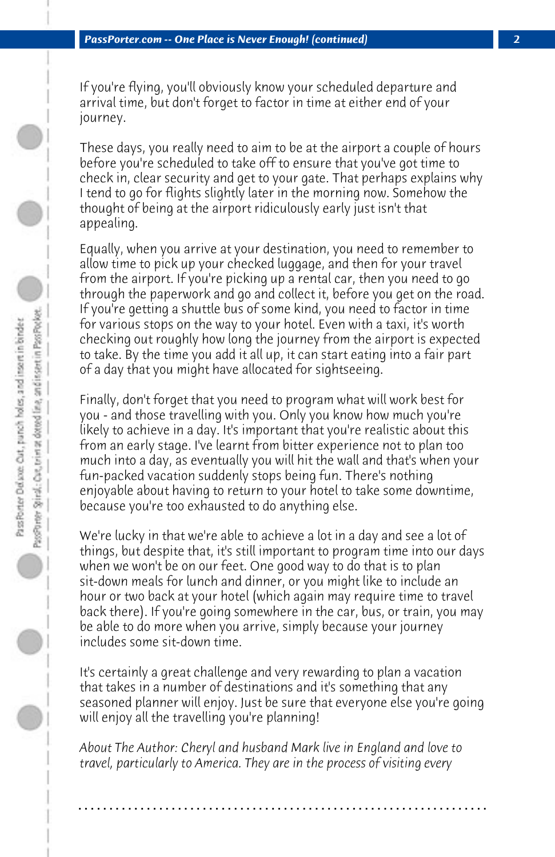If you're flying, you'll obviously know your scheduled departure and arrival time, but don't forget to factor in time at either end of your journey.

These days, you really need to aim to be at the airport a couple of hours before you're scheduled to take off to ensure that you've got time to check in, clear security and get to your gate. That perhaps explains why I tend to go for flights slightly later in the morning now. Somehow the thought of being at the airport ridiculously early just isn't that appealing.

Equally, when you arrive at your destination, you need to remember to allow time to pick up your checked luggage, and then for your travel from the airport. If you're picking up a rental car, then you need to go through the paperwork and go and collect it, before you get on the road. If you're getting a shuttle bus of some kind, you need to factor in time for various stops on the way to your hotel. Even with a taxi, it's worth checking out roughly how long the journey from the airport is expected to take. By the time you add it all up, it can start eating into a fair part of a day that you might have allocated for sightseeing.

Finally, don't forget that you need to program what will work best for you - and those travelling with you. Only you know how much you're likely to achieve in a day. It's important that you're realistic about this from an early stage. I've learnt from bitter experience not to plan too much into a day, as eventually you will hit the wall and that's when your fun-packed vacation suddenly stops being fun. There's nothing enjoyable about having to return to your hotel to take some downtime, because you're too exhausted to do anything else.

We're lucky in that we're able to achieve a lot in a day and see a lot of things, but despite that, it's still important to program time into our days when we won't be on our feet. One good way to do that is to plan sit-down meals for lunch and dinner, or you might like to include an hour or two back at your hotel (which again may require time to travel back there). If you're going somewhere in the car, bus, or train, you may be able to do more when you arrive, simply because your journey includes some sit-down time.

It's certainly a great challenge and very rewarding to plan a vacation that takes in a number of destinations and it's something that any seasoned planner will enjoy. Just be sure that everyone else you're going will enjoy all the travelling you're planning!

*About The Author: Cheryl and husband Mark live in England and love to travel, particularly to America. They are in the process of visiting every*

**. . . . . . . . . . . . . . . . . . . . . . . . . . . . . . . . . . . . . . . . . . . . . . . . . . . . . . . . . . . . . . . . . .**